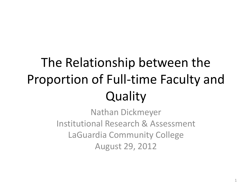### The Relationship between the Proportion of Full-time Faculty and **Quality**

Nathan Dickmeyer Institutional Research & Assessment LaGuardia Community College August 29, 2012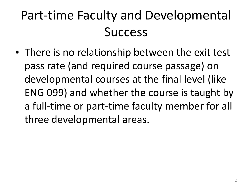#### Part-time Faculty and Developmental Success

• There is no relationship between the exit test pass rate (and required course passage) on developmental courses at the final level (like ENG 099) and whether the course is taught by a full-time or part-time faculty member for all three developmental areas.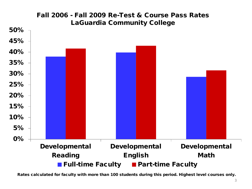

Rates calculated for faculty with more than 100 students during this period. Highest level courses only.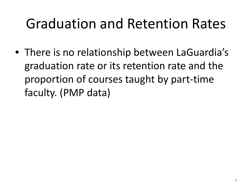#### Graduation and Retention Rates

• There is no relationship between LaGuardia's graduation rate or its retention rate and the proportion of courses taught by part-time faculty. (PMP data)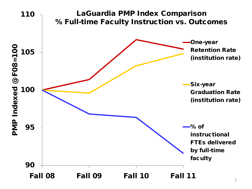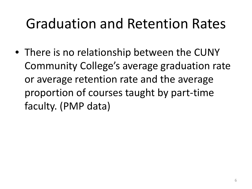#### Graduation and Retention Rates

• There is no relationship between the CUNY Community College's average graduation rate or average retention rate and the average proportion of courses taught by part-time faculty. (PMP data)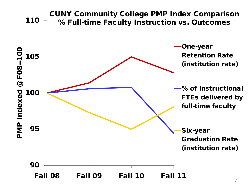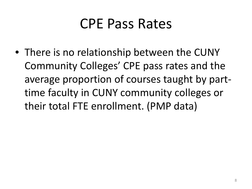#### CPE Pass Rates

• There is no relationship between the CUNY Community Colleges' CPE pass rates and the average proportion of courses taught by parttime faculty in CUNY community colleges or their total FTE enrollment. (PMP data)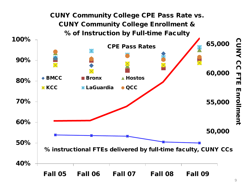

CC Πļ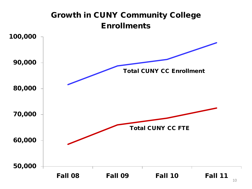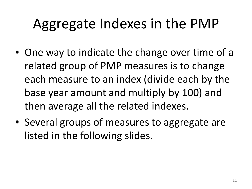### Aggregate Indexes in the PMP

- One way to indicate the change over time of a related group of PMP measures is to change each measure to an index (divide each by the base year amount and multiply by 100) and then average all the related indexes.
- Several groups of measures to aggregate are listed in the following slides.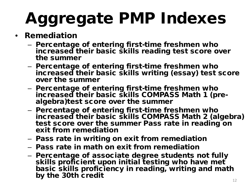# Aggregate PMP Indexes

- Remediation
	- Percentage of entering first-time freshmen who increased their basic skills reading test score over the summer
	- Percentage of entering first-time freshmen who increased their basic skills writing (essay) test score over the summer
	- Percentage of entering first-time freshmen who increased their basic skills COMPASS Math 1 (pre-<br>algebra)test score over the summer
	- Percentage of entering first-time freshmen who increased their basic skills COMPASS Math 2 (algebra) test score over the summer Pass rate in reading on exit from remediation
	- Pass rate in writing on exit from remediation
	- Pass rate in math on exit from remediation
	- Percentage of associate degree students not fully skills proficient upon initial testing who have met basic skills proficiency in reading, writing and math by the 30th credit  $\frac{1}{2}$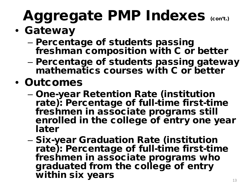### Aggregate PMP Indexes (con't.)

- Gateway
	- Percentage of students passing freshman composition with C or better
	- Percentage of students passing gateway mathematics courses with C or better
- Outcomes
	- One-year Retention Rate (institution rate): Percentage of full-time first-time freshmen in associate programs still enrolled in the college of entry one year later
	- Six-year Graduation Rate (institution rate): Percentage of full-time first-time freshmen in associate programs who graduated from the college of entry within six years  $13$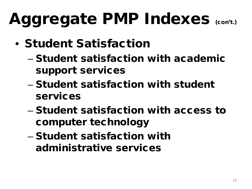## Aggregate PMP Indexes (con't.)

- Student Satisfaction
	- Student satisfaction with academic support services
	- Student satisfaction with student services
	- Student satisfaction with access to computer technology
	- Student satisfaction with administrative services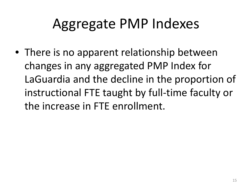#### Aggregate PMP Indexes

• There is no apparent relationship between changes in any aggregated PMP Index for LaGuardia and the decline in the proportion of instructional FTE taught by full-time faculty or the increase in FTE enrollment.